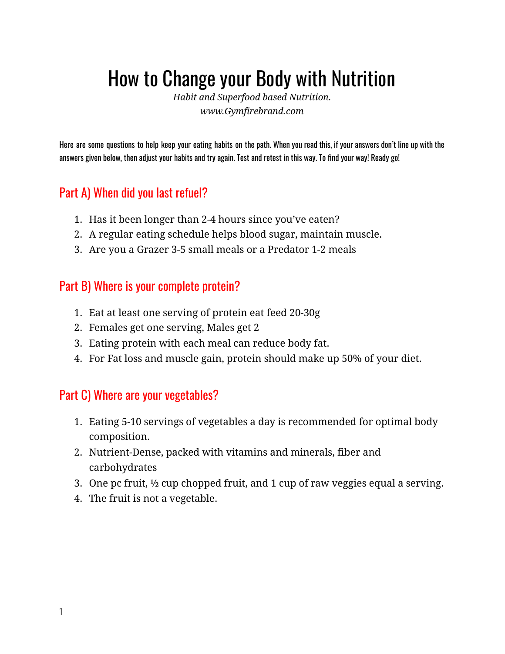# How to Change your Body with Nutrition

*Habit and Superfood based Nutrition. www.Gymfirebrand.com*

Here are some questions to help keep your eating habits on the path. When you read this, if your answers don't line up with the answers given below, then adjust your habits and try again. Test and retest in this way. To find your way! Ready go!

## Part A) When did you last refuel?

- 1. Has it been longer than 2-4 hours since you've eaten?
- 2. A regular eating schedule helps blood sugar, maintain muscle.
- 3. Are you a Grazer 3-5 small meals or a Predator 1-2 meals

### Part B) Where is your complete protein?

- 1. Eat at least one serving of protein eat feed 20-30g
- 2. Females get one serving, Males get 2
- 3. Eating protein with each meal can reduce body fat.
- 4. For Fat loss and muscle gain, protein should make up 50% of your diet.

### Part C) Where are your vegetables?

- 1. Eating 5-10 servings of vegetables a day is recommended for optimal body composition.
- 2. Nutrient-Dense, packed with vitamins and minerals, fiber and carbohydrates
- 3. One pc fruit, ½ cup chopped fruit, and 1 cup of raw veggies equal a serving.
- 4. The fruit is not a vegetable.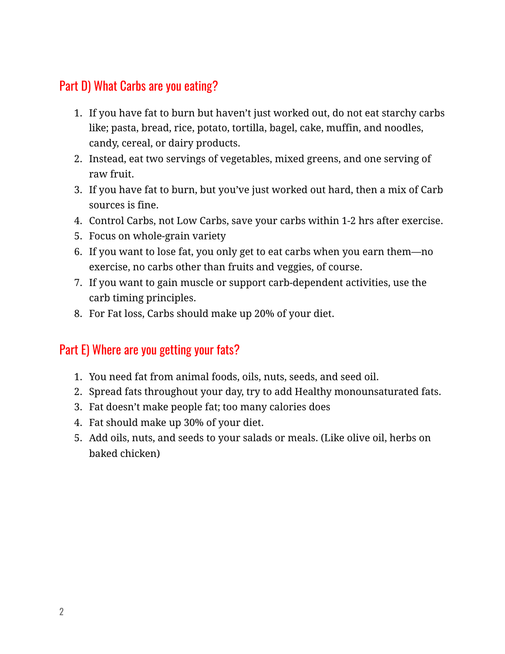## Part D) What Carbs are you eating?

- 1. If you have fat to burn but haven't just worked out, do not eat starchy carbs like; pasta, bread, rice, potato, tortilla, bagel, cake, muffin, and noodles, candy, cereal, or dairy products.
- 2. Instead, eat two servings of vegetables, mixed greens, and one serving of raw fruit.
- 3. If you have fat to burn, but you've just worked out hard, then a mix of Carb sources is fine.
- 4. Control Carbs, not Low Carbs, save your carbs within 1-2 hrs after exercise.
- 5. Focus on whole-grain variety
- 6. If you want to lose fat, you only get to eat carbs when you earn them—no exercise, no carbs other than fruits and veggies, of course.
- 7. If you want to gain muscle or support carb-dependent activities, use the carb timing principles.
- 8. For Fat loss, Carbs should make up 20% of your diet.

### Part E) Where are you getting your fats?

- 1. You need fat from animal foods, oils, nuts, seeds, and seed oil.
- 2. Spread fats throughout your day, try to add Healthy monounsaturated fats.
- 3. Fat doesn't make people fat; too many calories does
- 4. Fat should make up 30% of your diet.
- 5. Add oils, nuts, and seeds to your salads or meals. (Like olive oil, herbs on baked chicken)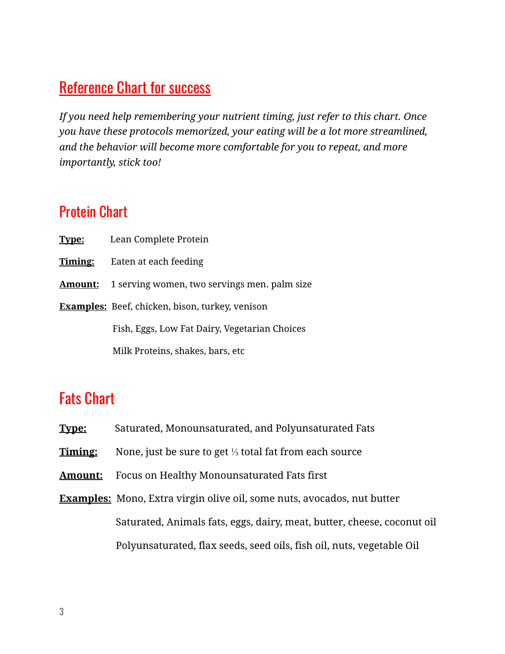## **Reference Chart for success**

*If you need help remembering your nutrient timing, just refer to this chart. Once you have these protocols memorized, your eating will be a lot more streamlined, and the behavior will become more comfortable for you to repeat, and more importantly, stick too!* 

## Protein Chart

**Type:** Lean Complete Protein **Timing:** Eaten at each feeding **Amount:** 1 serving women, two servings men. palm size **Examples:** Beef, chicken, bison, turkey, venison Fish, Eggs, Low Fat Dairy, Vegetarian Choices Milk Proteins, shakes, bars, etc

## Fats Chart

- **Type:** Saturated, Monounsaturated, and Polyunsaturated Fats
- **Timing:** None, just be sure to get ⅓ total fat from each source
- **Amount:** Focus on Healthy Monounsaturated Fats first
- **Examples:** Mono, Extra virgin olive oil, some nuts, avocados, nut butter Saturated, Animals fats, eggs, dairy, meat, butter, cheese, coconut oil Polyunsaturated, flax seeds, seed oils, fish oil, nuts, vegetable Oil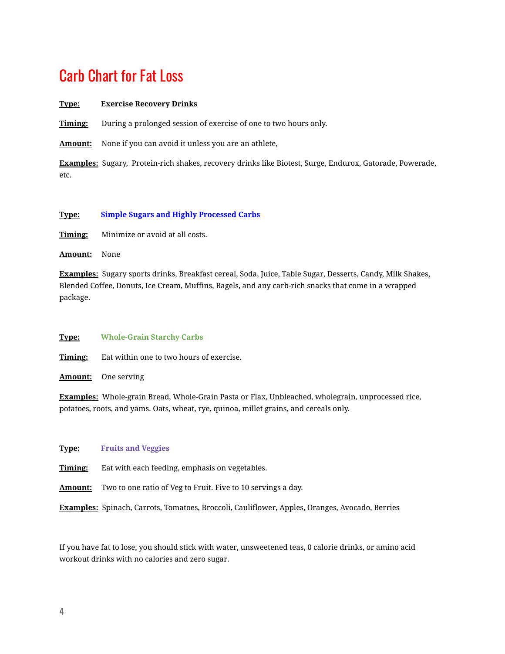## Carb Chart for Fat Loss

#### **Type: Exercise Recovery Drinks**

**Timing:** During a prolonged session of exercise of one to two hours only.

Amount: None if you can avoid it unless you are an athlete,

**Examples:** Sugary, Protein-rich shakes, recovery drinks like Biotest, Surge, Endurox, Gatorade, Powerade, etc.

#### **Type: Simple Sugars and Highly Processed Carbs**

**Timing:** Minimize or avoid at all costs.

**Amount:** None

**Examples:** Sugary sports drinks, Breakfast cereal, Soda, Juice, Table Sugar, Desserts, Candy, Milk Shakes, Blended Coffee, Donuts, Ice Cream, Muffins, Bagels, and any carb-rich snacks that come in a wrapped package.

**Type: Whole-Grain Starchy Carbs** 

**Timing:** Eat within one to two hours of exercise.

**Amount:** One serving

**Examples:** Whole-grain Bread, Whole-Grain Pasta or Flax, Unbleached, wholegrain, unprocessed rice, potatoes, roots, and yams. Oats, wheat, rye, quinoa, millet grains, and cereals only.

**Type: Fruits and Veggies** 

**Timing:** Eat with each feeding, emphasis on vegetables.

**Amount:** Two to one ratio of Veg to Fruit. Five to 10 servings a day.

**Examples:** Spinach, Carrots, Tomatoes, Broccoli, Cauliflower, Apples, Oranges, Avocado, Berries

If you have fat to lose, you should stick with water, unsweetened teas, 0 calorie drinks, or amino acid workout drinks with no calories and zero sugar.